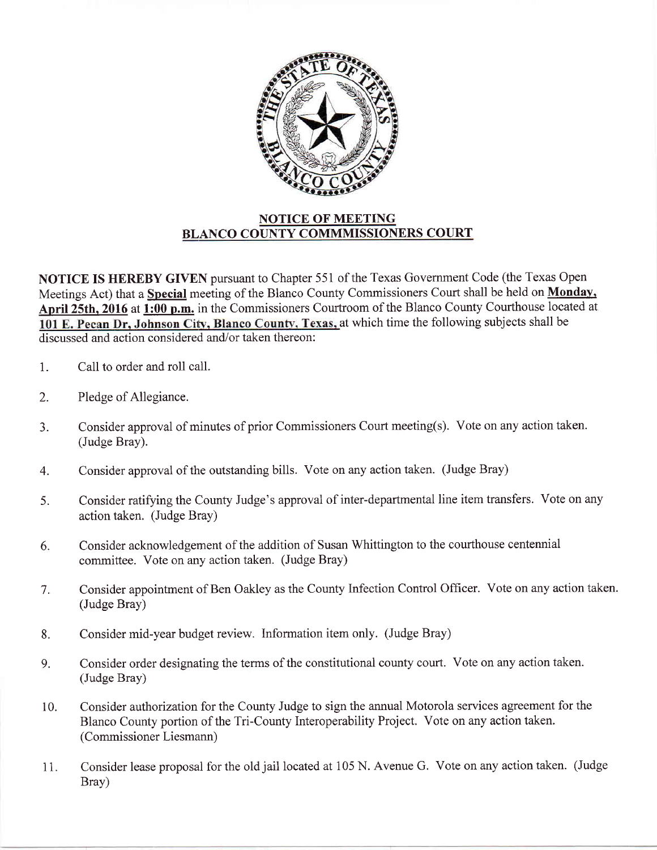

## NOTICE OF MEETING BLANCO COUNTY COMMMISSIONERS COURT

NOTICE IS HEREBY GIVEN pursuant to Chapter 551 of the Texas Government Code (the Texas Open Meetings Act) that a **Special** meeting of the Blanco County Commissioners Court shall be held on **Monday**, April 25th, 2016 at 1:00 p.m. in the Commissioners Courtroom of the Blanco County Courthouse located at 101 E. Pecan Dr, Johnson City, Blanco County, Texas, at which time the following subjects shall be discussed and action considered and/or taken thereon:

- 1. Call to order and roll call.
- 2. Pledge of Allegiance.
- 3. Consider approval of minutes of prior Commissioners Court meeting(s). Vote on any action taken. (Judge Bray).
- 4. Consider approval of the outstanding bills. Vote on any action taken. (Judge Bray)
- 5. Consider ratifying the County Judge's approval of inter-departmental line item transfers. Vote on any action taken. (Judge Bray)
- 6. Consider acknowledgement of the addition of Susan Whittington to the courthouse centennial committee. Vote on any action taken. (Judge Bray)
- 7. Consider appointment of Ben Oakley as the County Infection Control Officer. Vote on any action taken. (Judge Bray)
- Consider mid-year budget review. Information item only. (Judge Bray) 8.
- Consider order designating the terms of the constitutional county court. Vote on any action taken. (Judge Bray) 9.
- Consider authorization for the County Judge to sign the annual Motorola services agreement for the Blanco County portion of the Tri-County Interoperability Project. Vote on any action taken. (Commissioner Liesmann) 10.
- Consider lease proposal for the old jail located at 105 N. Avenue G. Vote on any action taken. (Judge Brav) I l.